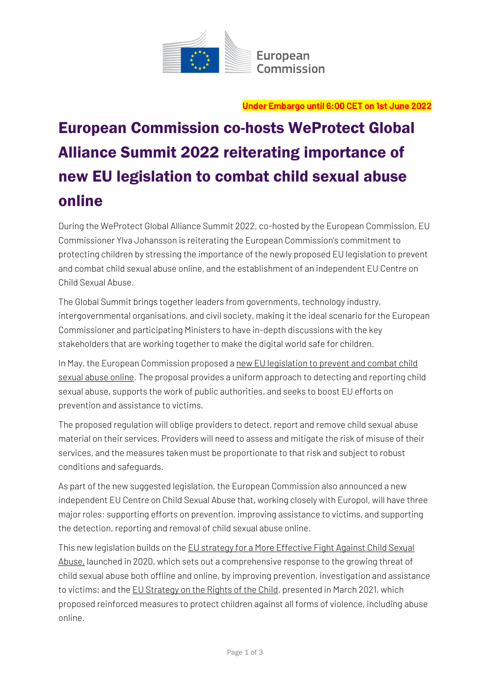

**Under Embargo until 6:00 CET on 1st June 2022**

# European Commission co-hosts WeProtect Global Alliance Summit 2022 reiterating importance of new EU legislation to combat child sexual abuse online

During the WeProtect Global Alliance Summit 2022, co-hosted by the European Commission, EU Commissioner Ylva Johansson is reiterating the European Commission's commitment to protecting children by stressing the importance of th[e newly proposed](file:///C:/Users/blancag/Downloads/Proposal%20for%20a%20Regulation%20laying%20down%20rules%20to%20prevent%20and%20combat%20child%20sexual%20abuse_en.pdf) EU legislation to prevent and combat child sexual abuse online, and the establishment of an independent EU Centre on Child Sexual Abuse.

The Global Summit brings together leaders from governments, technology industry, intergovernmental organisations, and civil society, making it the ideal scenario for the European Commissioner and participating Ministers to have in-depth discussions with the key stakeholders that are working together to make the digital world safe for children.

In May, the European Commission proposed a new EU legislation to prevent and combat child [sexual abuse online.](https://eur-lex.europa.eu/legal-content/EN/TXT/?uri=COM%3A2022%3A209%3AFIN&qid=1652451192472) The proposal provides a uniform approach to detecting and reporting child sexual abuse, supports the work of public authorities, and seeks to boost EU efforts on prevention and assistance to victims.

The proposed regulation will oblige providers to detect, report and remove child sexual abuse material on their services. Providers will need to assess and mitigate the risk of misuse of their services, and the measures taken must be proportionate to that risk and subject to robust conditions and safeguards.

As part of the new suggested legislation, the European Commission also announced a new independent EU Centre on Child Sexual Abuse that, working closely with Europol, will have three major roles: supporting efforts on prevention, improving assistance to victims, and supporting the detection, reporting and removal of child sexual abuse online.

This new legislation builds on th[e EU strategy for a More Effective Fight Against Child Sexual](https://eur-lex.europa.eu/legal-content/EN/TXT/?uri=CELEX%3A52020DC0607)  [Abuse,](https://eur-lex.europa.eu/legal-content/EN/TXT/?uri=CELEX%3A52020DC0607) launched in 2020, which sets out a comprehensive response to the growing threat of child sexual abuse both offline and online, by improving prevention, investigation and assistance to victims; and the [EU Strategy on the Rights of the Child,](https://eur-lex.europa.eu/legal-content/EN/TXT/PDF/?uri=CELEX:52021DC0142&from=en) presented in March 2021, which proposed reinforced measures to protect children against all forms of violence, including abuse online.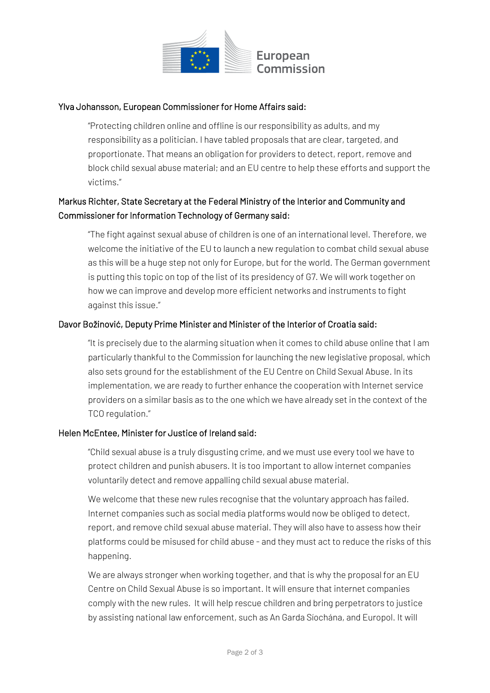

#### Ylva Johansson, European Commissioner for Home Affairs said:

"Protecting children online and offline is our responsibility as adults, and my responsibility as a politician. I have tabled proposals that are clear, targeted, and proportionate. That means an obligation for providers to detect, report, remove and block child sexual abuse material; and an EU centre to help these efforts and support the victims."

### Markus Richter, State Secretary at the Federal Ministry of the Interior and Community and Commissioner for Information Technology of Germany said:

"The fight against sexual abuse of children is one of an international level. Therefore, we welcome the initiative of the EU to launch a new regulation to combat child sexual abuse as this will be a huge step not only for Europe, but for the world. The German government is putting this topic on top of the list of its presidency of G7. We will work together on how we can improve and develop more efficient networks and instruments to fight against this issue."

#### Davor Božinović, Deputy Prime Minister and Minister of the Interior of Croatia said:

"It is precisely due to the alarming situation when it comes to child abuse online that I am particularly thankful to the Commission for launching the new legislative proposal, which also sets ground for the establishment of the EU Centre on Child Sexual Abuse. In its implementation, we are ready to further enhance the cooperation with Internet service providers on a similar basis as to the one which we have already set in the context of the TCO regulation."

#### Helen McEntee, Minister for Justice of Ireland said:

"Child sexual abuse is a truly disgusting crime, and we must use every tool we have to protect children and punish abusers. It is too important to allow internet companies voluntarily detect and remove appalling child sexual abuse material.

We welcome that these new rules recognise that the voluntary approach has failed. Internet companies such as social media platforms would now be obliged to detect, report, and remove child sexual abuse material. They will also have to assess how their platforms could be misused for child abuse - and they must act to reduce the risks of this happening.

We are always stronger when working together, and that is why the proposal for an EU Centre on Child Sexual Abuse is so important. It will ensure that internet companies comply with the new rules. It will help rescue children and bring perpetrators to justice by assisting national law enforcement, such as An Garda Síochána, and Europol. It will